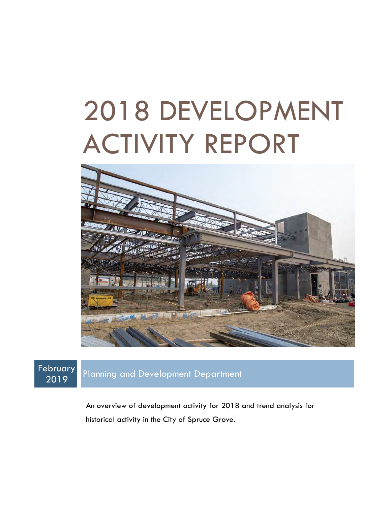# 2018 DEVELOPMENT ACTIVITY REPORT



February

2019 Planning and Development Department

An overview of development activity for 2018 and trend analysis for historical activity in the City of Spruce Grove.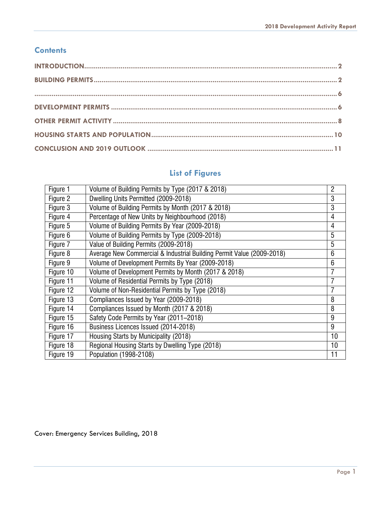#### **Contents**

# **List of Figures**

| Figure 1  | Volume of Building Permits by Type (2017 & 2018)                      | $\overline{c}$ |
|-----------|-----------------------------------------------------------------------|----------------|
| Figure 2  | Dwelling Units Permitted (2009-2018)                                  | 3              |
| Figure 3  | Volume of Building Permits by Month (2017 & 2018)                     | 3              |
| Figure 4  | Percentage of New Units by Neighbourhood (2018)                       | 4              |
| Figure 5  | Volume of Building Permits By Year (2009-2018)                        | 4              |
| Figure 6  | Volume of Building Permits by Type (2009-2018)                        | 5              |
| Figure 7  | Value of Building Permits (2009-2018)                                 | 5              |
| Figure 8  | Average New Commercial & Industrial Building Permit Value (2009-2018) | 6              |
| Figure 9  | Volume of Development Permits By Year (2009-2018)                     | 6              |
| Figure 10 | Volume of Development Permits by Month (2017 & 2018)                  |                |
| Figure 11 | Volume of Residential Permits by Type (2018)                          |                |
| Figure 12 | Volume of Non-Residential Permits by Type (2018)                      | 7              |
| Figure 13 | Compliances Issued by Year (2009-2018)                                | 8              |
| Figure 14 | Compliances Issued by Month (2017 & 2018)                             | 8              |
| Figure 15 | Safety Code Permits by Year (2011-2018)                               | 9              |
| Figure 16 | Business Licences Issued (2014-2018)                                  | 9              |
| Figure 17 | Housing Starts by Municipality (2018)                                 | 10             |
| Figure 18 | Regional Housing Starts by Dwelling Type (2018)                       | 10             |
| Figure 19 | Population (1998-2108)                                                | 11             |

Cover: Emergency Services Building, 2018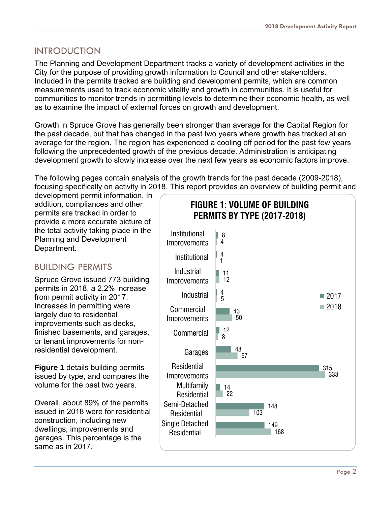#### <span id="page-2-0"></span>INTRODUCTION

The Planning and Development Department tracks a variety of development activities in the City for the purpose of providing growth information to Council and other stakeholders. Included in the permits tracked are building and development permits, which are common measurements used to track economic vitality and growth in communities. It is useful for communities to monitor trends in permitting levels to determine their economic health, as well as to examine the impact of external forces on growth and development.

Growth in Spruce Grove has generally been stronger than average for the Capital Region for the past decade, but that has changed in the past two years where growth has tracked at an average for the region. The region has experienced a cooling off period for the past few years following the unprecedented growth of the previous decade. Administration is anticipating development growth to slowly increase over the next few years as economic factors improve.

The following pages contain analysis of the growth trends for the past decade (2009-2018), focusing specifically on activity in 2018. This report provides an overview of building permit and

development permit information. In addition, compliances and other permits are tracked in order to provide a more accurate picture of the total activity taking place in the Planning and Development Department.

## <span id="page-2-1"></span>BUILDING PERMITS

Spruce Grove issued 773 building permits in 2018, a 2.2% increase from permit activity in 2017. Increases in permitting were largely due to residential improvements such as decks, finished basements, and garages, or tenant improvements for nonresidential development.

**Figure 1** details building permits issued by type, and compares the volume for the past two years.

Overall, about 89% of the permits issued in 2018 were for residential construction, including new dwellings, improvements and garages. This percentage is the same as in 2017.

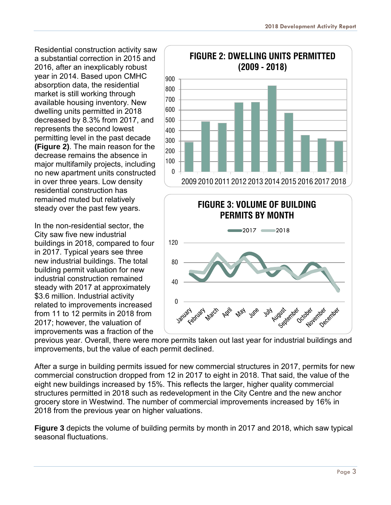Residential construction activity saw a substantial correction in 2015 and 2016, after an inexplicably robust year in 2014. Based upon CMHC absorption data, the residential market is still working through available housing inventory. New dwelling units permitted in 2018 decreased by 8.3% from 2017, and represents the second lowest permitting level in the past decade **(Figure 2)**. The main reason for the decrease remains the absence in major multifamily projects, including no new apartment units constructed in over three years. Low density residential construction has remained muted but relatively steady over the past few years.

In the non-residential sector, the City saw five new industrial buildings in 2018, compared to four in 2017. Typical years see three new industrial buildings. The total building permit valuation for new industrial construction remained steady with 2017 at approximately \$3.6 million. Industrial activity related to improvements increased from 11 to 12 permits in 2018 from 2017; however, the valuation of improvements was a fraction of the



previous year. Overall, there were more permits taken out last year for industrial buildings and improvements, but the value of each permit declined.

After a surge in building permits issued for new commercial structures in 2017, permits for new commercial construction dropped from 12 in 2017 to eight in 2018. That said, the value of the eight new buildings increased by 15%. This reflects the larger, higher quality commercial structures permitted in 2018 such as redevelopment in the City Centre and the new anchor grocery store in Westwind. The number of commercial improvements increased by 16% in 2018 from the previous year on higher valuations.

**Figure 3** depicts the volume of building permits by month in 2017 and 2018, which saw typical seasonal fluctuations.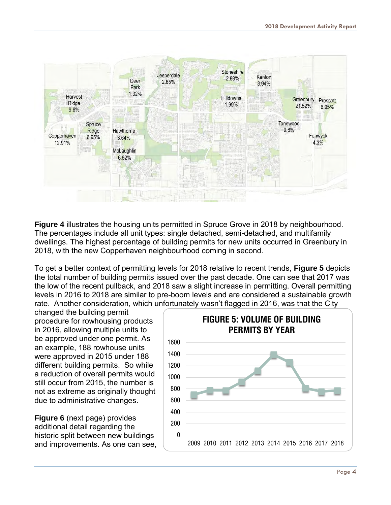

**Figure 4** illustrates the housing units permitted in Spruce Grove in 2018 by neighbourhood. The percentages include all unit types: single detached, semi-detached, and multifamily dwellings. The highest percentage of building permits for new units occurred in Greenbury in 2018, with the new Copperhaven neighbourhood coming in second.

To get a better context of permitting levels for 2018 relative to recent trends, **Figure 5** depicts the total number of building permits issued over the past decade. One can see that 2017 was the low of the recent pullback, and 2018 saw a slight increase in permitting. Overall permitting levels in 2016 to 2018 are similar to pre-boom levels and are considered a sustainable growth rate. Another consideration, which unfortunately wasn't flagged in 2016, was that the City

changed the building permit procedure for rowhousing products in 2016, allowing multiple units to be approved under one permit. As an example, 188 rowhouse units were approved in 2015 under 188 different building permits. So while a reduction of overall permits would still occur from 2015, the number is not as extreme as originally thought due to administrative changes.

**Figure 6** (next page) provides additional detail regarding the historic split between new buildings and improvements. As one can see,

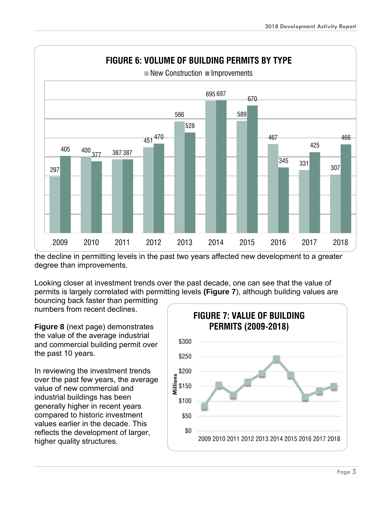

the decline in permitting levels in the past two years affected new development to a greater degree than improvements.

Looking closer at investment trends over the past decade, one can see that the value of permits is largely correlated with permitting levels **(Figure 7**), although building values are bouncing back faster than permitting

numbers from recent declines.

**Figure 8** (next page) demonstrates the value of the average industrial and commercial building permit over the past 10 years.

In reviewing the investment trends over the past few years, the average value of new commercial and industrial buildings has been generally higher in recent years compared to historic investment values earlier in the decade. This reflects the development of larger, higher quality structures.

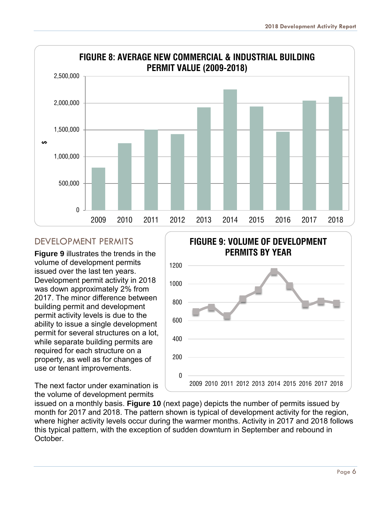<span id="page-6-0"></span>

#### <span id="page-6-1"></span>DEVELOPMENT PERMITS

**Figure 9** illustrates the trends in the volume of development permits issued over the last ten years. Development permit activity in 2018 was down approximately 2% from 2017. The minor difference between building permit and development permit activity levels is due to the ability to issue a single development permit for several structures on a lot, while separate building permits are required for each structure on a property, as well as for changes of use or tenant improvements.

The next factor under examination is the volume of development permits



issued on a monthly basis. **Figure 10** (next page) depicts the number of permits issued by month for 2017 and 2018. The pattern shown is typical of development activity for the region, where higher activity levels occur during the warmer months. Activity in 2017 and 2018 follows this typical pattern, with the exception of sudden downturn in September and rebound in October.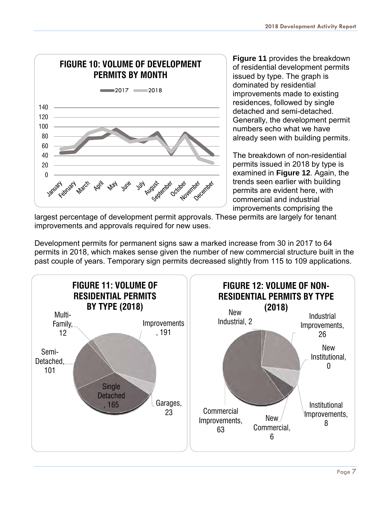

**Figure 11** provides the breakdown of residential development permits issued by type. The graph is dominated by residential improvements made to existing residences, followed by single detached and semi-detached. Generally, the development permit numbers echo what we have already seen with building permits.

The breakdown of non-residential permits issued in 2018 by type is examined in **Figure 12**. Again, the trends seen earlier with building permits are evident here, with commercial and industrial improvements comprising the

largest percentage of development permit approvals. These permits are largely for tenant improvements and approvals required for new uses.

Development permits for permanent signs saw a marked increase from 30 in 2017 to 64 permits in 2018, which makes sense given the number of new commercial structure built in the past couple of years. Temporary sign permits decreased slightly from 115 to 109 applications.

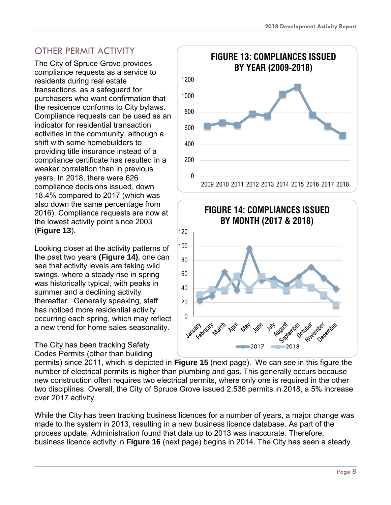# <span id="page-8-0"></span>OTHER PERMIT ACTIVITY

The City of Spruce Grove provides compliance requests as a service to residents during real estate transactions, as a safeguard for purchasers who want confirmation that the residence conforms to City bylaws. Compliance requests can be used as an indicator for residential transaction activities in the community, although a shift with some homebuilders to providing title insurance instead of a compliance certificate has resulted in a weaker correlation than in previous years. In 2018, there were 626 compliance decisions issued, down 18.4% compared to 2017 (which was also down the same percentage from 2016). Compliance requests are now at the lowest activity point since 2003 (**Figure 13**).

Looking closer at the activity patterns of the past two years **(Figure 14)**, one can see that activity levels are taking wild swings, where a steady rise in spring was historically typical, with peaks in summer and a declining activity thereafter. Generally speaking, staff has noticed more residential activity occurring each spring, which may reflect a new trend for home sales seasonality.

The City has been tracking Safety Codes Permits (other than building





permits) since 2011, which is depicted in **Figure 15** (next page). We can see in this figure the number of electrical permits is higher than plumbing and gas. This generally occurs because new construction often requires two electrical permits, where only one is required in the other two disciplines. Overall, the City of Spruce Grove issued 2,536 permits in 2018, a 5% increase over 2017 activity.

While the City has been tracking business licences for a number of years, a major change was made to the system in 2013, resulting in a new business licence database. As part of the process update, Administration found that data up to 2013 was inaccurate. Therefore, business licence activity in **Figure 16** (next page) begins in 2014. The City has seen a steady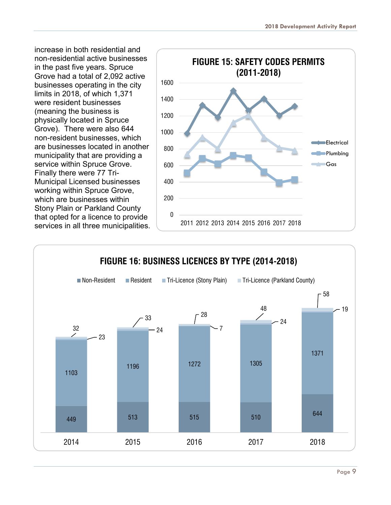increase in both residential and non-residential active businesses in the past five years. Spruce Grove had a total of 2,092 active businesses operating in the city limits in 2018, of which 1,371 were resident businesses (meaning the business is physically located in Spruce Grove). There were also 644 non-resident businesses, which are businesses located in another municipality that are providing a service within Spruce Grove. Finally there were 77 Tri-Municipal Licensed businesses working within Spruce Grove, which are businesses within Stony Plain or Parkland County that opted for a licence to provide services in all three municipalities.



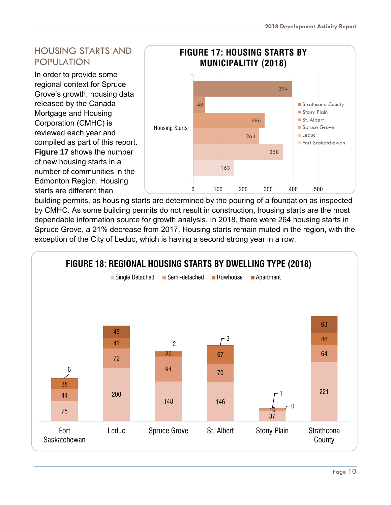# <span id="page-10-0"></span>HOUSING STARTS AND POPULATION

In order to provide some regional context for Spruce Grove's growth, housing data released by the Canada Mortgage and Housing Corporation (CMHC) is reviewed each year and compiled as part of this report. **Figure 17** shows the number

of new housing starts in a number of communities in the Edmonton Region. Housing starts are different than



building permits, as housing starts are determined by the pouring of a foundation as inspected by CMHC. As some building permits do not result in construction, housing starts are the most dependable information source for growth analysis. In 2018, there were 264 housing starts in Spruce Grove, a 21% decrease from 2017. Housing starts remain muted in the region, with the exception of the City of Leduc, which is having a second strong year in a row.